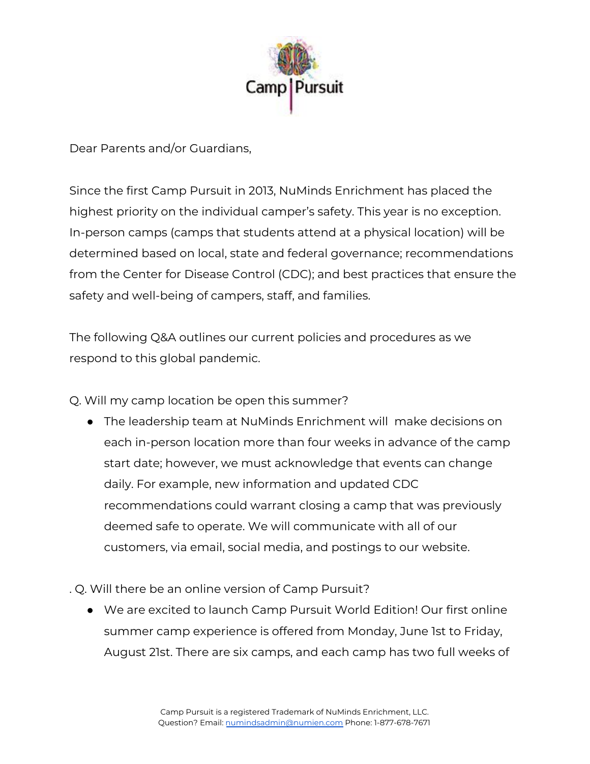

Dear Parents and/or Guardians,

Since the first Camp Pursuit in 2013, NuMinds Enrichment has placed the highest priority on the individual camper's safety. This year is no exception. In-person camps (camps that students attend at a physical location) will be determined based on local, state and federal governance; recommendations from the Center for Disease Control (CDC); and best practices that ensure the safety and well-being of campers, staff, and families.

The following Q&A outlines our current policies and procedures as we respond to this global pandemic.

Q. Will my camp location be open this summer?

- The leadership team at NuMinds Enrichment will make decisions on each in-person location more than four weeks in advance of the camp start date; however, we must acknowledge that events can change daily. For example, new information and updated CDC recommendations could warrant closing a camp that was previously deemed safe to operate. We will communicate with all of our customers, via email, social media, and postings to our website.
- . Q. Will there be an online version of Camp Pursuit?
	- We are excited to launch Camp Pursuit World Edition! Our first online summer camp experience is offered from Monday, June 1st to Friday, August 21st. There are six camps, and each camp has two full weeks of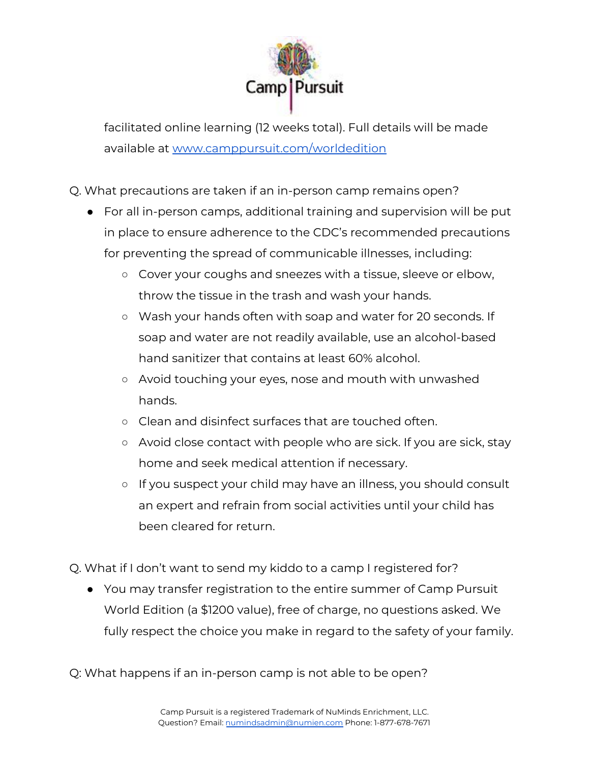

facilitated online learning (12 weeks total). Full details will be made available at [www.camppursuit.com/worldedition](https://www.camppursuit.com/worldedition)

- Q. What precautions are taken if an in-person camp remains open?
	- For all in-person camps, additional training and supervision will be put in place to ensure adherence to the CDC's recommended precautions for preventing the spread of communicable illnesses, including:
		- Cover your coughs and sneezes with a tissue, sleeve or elbow, throw the tissue in the trash and wash your hands.
		- Wash your hands often with soap and water for 20 seconds. If soap and water are not readily available, use an alcohol-based hand sanitizer that contains at least 60% alcohol.
		- Avoid touching your eyes, nose and mouth with unwashed hands.
		- Clean and disinfect surfaces that are touched often.
		- Avoid close contact with people who are sick. If you are sick, stay home and seek medical attention if necessary.
		- If you suspect your child may have an illness, you should consult an expert and refrain from social activities until your child has been cleared for return.
- Q. What if I don't want to send my kiddo to a camp I registered for?
	- You may transfer registration to the entire summer of Camp Pursuit World Edition (a \$1200 value), free of charge, no questions asked. We fully respect the choice you make in regard to the safety of your family.

Q: What happens if an in-person camp is not able to be open?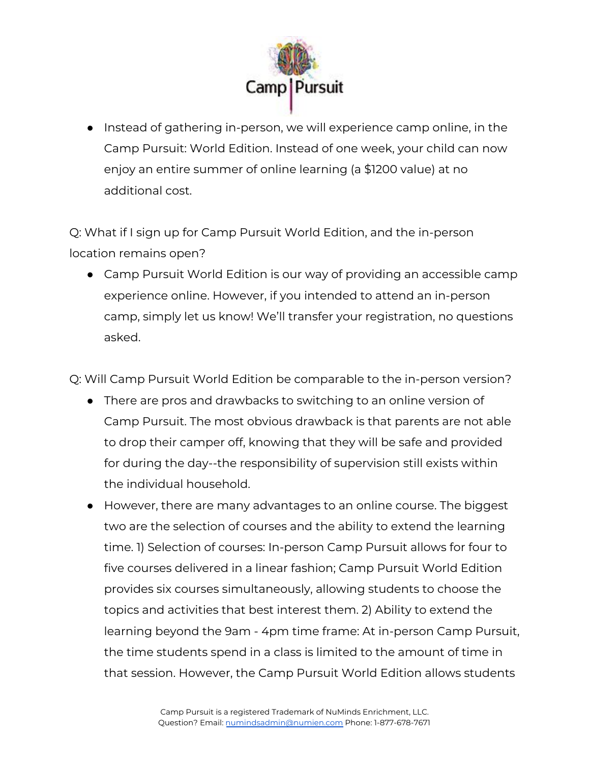

● Instead of gathering in-person, we will experience camp online, in the Camp Pursuit: World Edition. Instead of one week, your child can now enjoy an entire summer of online learning (a \$1200 value) at no additional cost.

Q: What if I sign up for Camp Pursuit World Edition, and the in-person location remains open?

● Camp Pursuit World Edition is our way of providing an accessible camp experience online. However, if you intended to attend an in-person camp, simply let us know! We'll transfer your registration, no questions asked.

Q: Will Camp Pursuit World Edition be comparable to the in-person version?

- There are pros and drawbacks to switching to an online version of Camp Pursuit. The most obvious drawback is that parents are not able to drop their camper off, knowing that they will be safe and provided for during the day--the responsibility of supervision still exists within the individual household.
- However, there are many advantages to an online course. The biggest two are the selection of courses and the ability to extend the learning time. 1) Selection of courses: In-person Camp Pursuit allows for four to five courses delivered in a linear fashion; Camp Pursuit World Edition provides six courses simultaneously, allowing students to choose the topics and activities that best interest them. 2) Ability to extend the learning beyond the 9am - 4pm time frame: At in-person Camp Pursuit, the time students spend in a class is limited to the amount of time in that session. However, the Camp Pursuit World Edition allows students